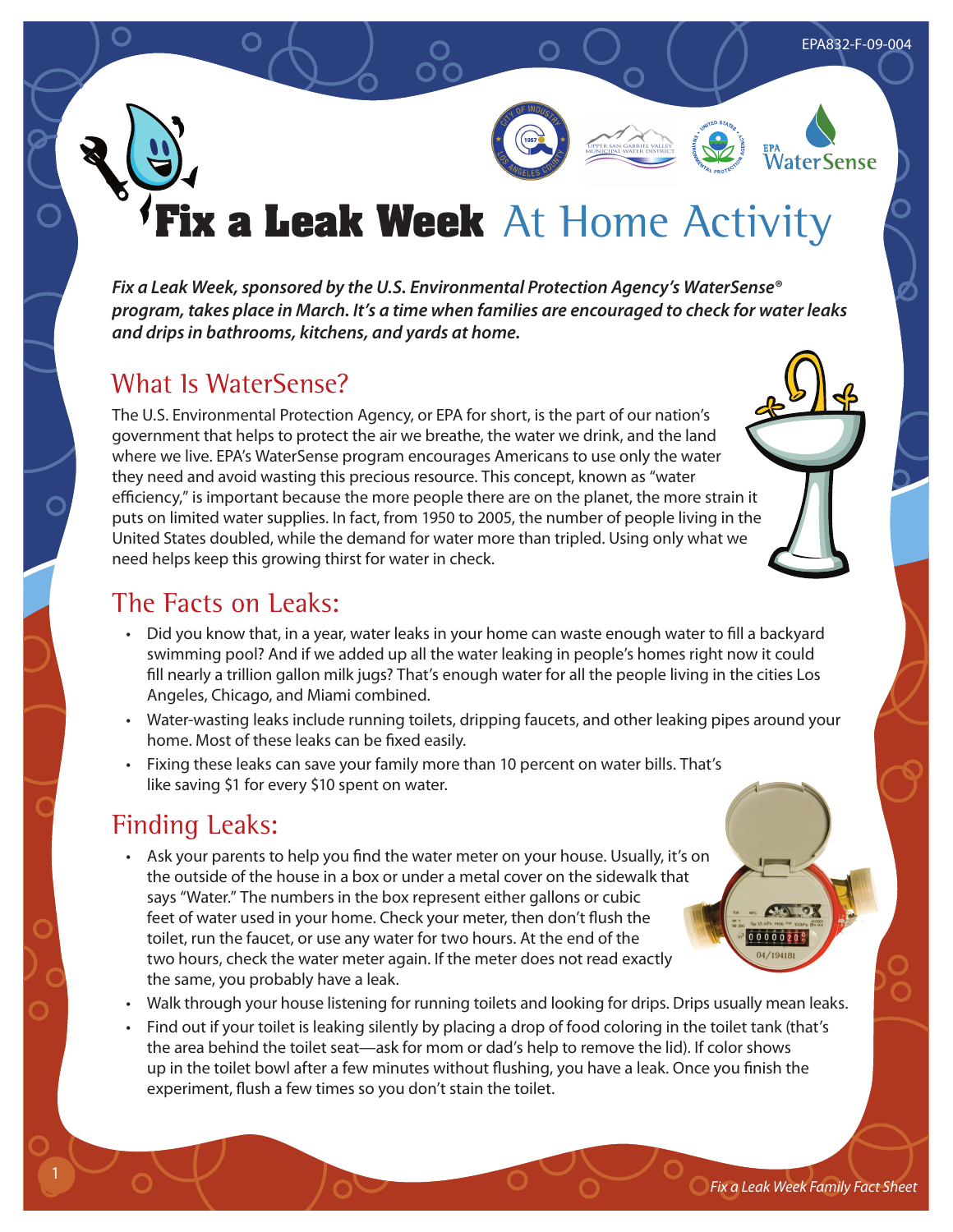# **a Leak Week** At Home Activity

*Fix a Leak Week, sponsored by the U.S. Environmental Protection Agency's WaterSense® program, takes place in March. It's a time when families are encouraged to check for water leaks and drips in bathrooms, kitchens, and yards at home.*

## What Is WaterSense?

The U.S. Environmental Protection Agency, or EPA for short, is the part of our nation's government that helps to protect the air we breathe, the water we drink, and the land where we live. EPA's WaterSense program encourages Americans to use only the water they need and avoid wasting this precious resource. This concept, known as "water efficiency," is important because the more people there are on the planet, the more strain it puts on limited water supplies. In fact, from 1950 to 2005, the number of people living in the United States doubled, while the demand for water more than tripled. Using only what we need helps keep this growing thirst for water in check.

## The Facts on Leaks:

- Did you know that, in a year, water leaks in your home can waste enough water to fill a backyard swimming pool? And if we added up all the water leaking in people's homes right now it could fill nearly a trillion gallon milk jugs? That's enough water for all the people living in the cities Los Angeles, Chicago, and Miami combined.
- Water-wasting leaks include running toilets, dripping faucets, and other leaking pipes around your home. Most of these leaks can be fixed easily.
- Fixing these leaks can save your family more than 10 percent on water bills. That's like saving \$1 for every \$10 spent on water.

## Finding Leaks:

- Ask your parents to help you find the water meter on your house. Usually, it's on the outside of the house in a box or under a metal cover on the sidewalk that says "Water." The numbers in the box represent either gallons or cubic feet of water used in your home. Check your meter, then don't flush the toilet, run the faucet, or use any water for two hours. At the end of the two hours, check the water meter again. If the meter does not read exactly the same, you probably have a leak.
- Walk through your house listening for running toilets and looking for drips. Drips usually mean leaks.
- Find out if your toilet is leaking silently by placing a drop of food coloring in the toilet tank (that's the area behind the toilet seat—ask for mom or dad's help to remove the lid). If color shows up in the toilet bowl after a few minutes without flushing, you have a leak. Once you finish the experiment, flush a few times so you don't stain the toilet.

 $0000020$ 

EPA832-F-09-004

**WaterSense**